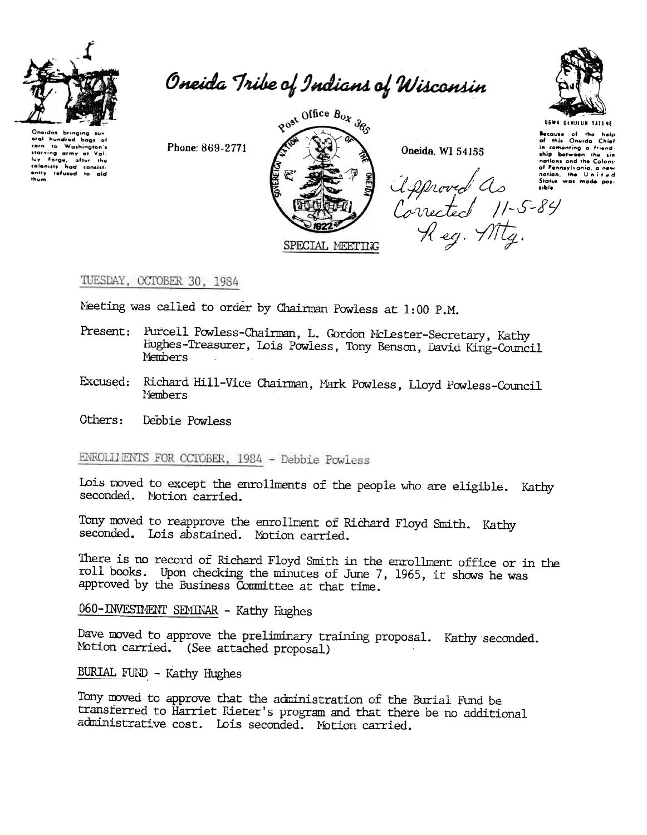

Onaides brian eral hundred bags of corn to Washington's corn to Washington's<br>therving army at Val.<br>ley Forge, after the<br>colonists had consist-<br>antly refused to aid thum

Oneida Tribe of Indians of Wisconsin

Phone: 869-2771



Oneida, WI 54155



**UGWA DENOLUN TATENE** Because of the help<br>of this Oneida Chief in comenting a friend ship between the Lis ship between the six<br>nations and the Colony<br>of Pennsylvania, a new<br>nation, the United<br>Status was made pos-<br>sible. Approved As Some<br>Corrected 11-5-84<br>Reg. Mtg.

# TUESDAY, OCTOBER 30, 1984

Meeting was called to order by Chairman Powless at 1:00 P.M.

- Present: Purcell Powless-Chairman, L. Gordon McLester-Secretary, Kathy Hughes-Treasurer, Lois Powless, Tony Benson, David King-Council Members
- Excused: Richard Hill-Vice Chairman, Mark Powless, Lloyd Powless-Council Members

Others: Depbie Powless

ENROLLIENTS FOR OCTOBER, 1984 - Debbie Powless

Lois moved to except the enrollments of the people who are eligible. Kathy seconded. Notion carried.

Tony moved to reapprove the enrollment of Richard Floyd Smith. Kathy seconded. Lois abstained. Motion carried.

There is no record of Richard Floyd Smith in the enrollment office or in the roll books. Upon checking the minutes of June 7, 1965, it shows he was approved by the Business Committee at that time.

060-INVESTMENT SEMINAR - Kathy Hughes

Dave moved to approve the preliminary training proposal. Kathy seconded. Motion carried. (See attached proposal)

BURIAL FUND - Kathy Hughes

Tony moved to approve that the administration of the Burial Fund be transferred to Harriet Rieter's program and that there be no additional administrative cost. Lois seconded. Motion carried.